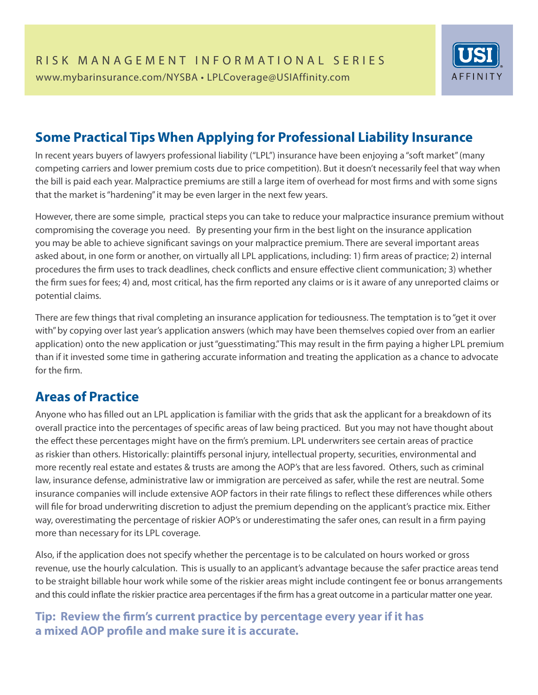

# **Some Practical Tips When Applying for Professional Liability Insurance**

In recent years buyers of lawyers professional liability ("LPL") insurance have been enjoying a "soft market" (many competing carriers and lower premium costs due to price competition). But it doesn't necessarily feel that way when the bill is paid each year. Malpractice premiums are still a large item of overhead for most firms and with some signs that the market is "hardening" it may be even larger in the next few years.

However, there are some simple, practical steps you can take to reduce your malpractice insurance premium without compromising the coverage you need. By presenting your firm in the best light on the insurance application you may be able to achieve significant savings on your malpractice premium. There are several important areas asked about, in one form or another, on virtually all LPL applications, including: 1) firm areas of practice; 2) internal procedures the firm uses to track deadlines, check conflicts and ensure effective client communication; 3) whether the firm sues for fees; 4) and, most critical, has the firm reported any claims or is it aware of any unreported claims or potential claims.

There are few things that rival completing an insurance application for tediousness. The temptation is to "get it over with" by copying over last year's application answers (which may have been themselves copied over from an earlier application) onto the new application or just "guesstimating." This may result in the firm paying a higher LPL premium than if it invested some time in gathering accurate information and treating the application as a chance to advocate for the firm.

### **Areas of Practice**

Anyone who has filled out an LPL application is familiar with the grids that ask the applicant for a breakdown of its overall practice into the percentages of specific areas of law being practiced. But you may not have thought about the effect these percentages might have on the firm's premium. LPL underwriters see certain areas of practice as riskier than others. Historically: plaintiffs personal injury, intellectual property, securities, environmental and more recently real estate and estates & trusts are among the AOP's that are less favored. Others, such as criminal law, insurance defense, administrative law or immigration are perceived as safer, while the rest are neutral. Some insurance companies will include extensive AOP factors in their rate filings to reflect these differences while others will file for broad underwriting discretion to adjust the premium depending on the applicant's practice mix. Either way, overestimating the percentage of riskier AOP's or underestimating the safer ones, can result in a firm paying more than necessary for its LPL coverage.

Also, if the application does not specify whether the percentage is to be calculated on hours worked or gross revenue, use the hourly calculation. This is usually to an applicant's advantage because the safer practice areas tend to be straight billable hour work while some of the riskier areas might include contingent fee or bonus arrangements and this could inflate the riskier practice area percentages if the firm has a great outcome in a particular matter one year.

#### Tip: Review the firm's current practice by percentage every year if it has a mixed AOP profile and make sure it is accurate.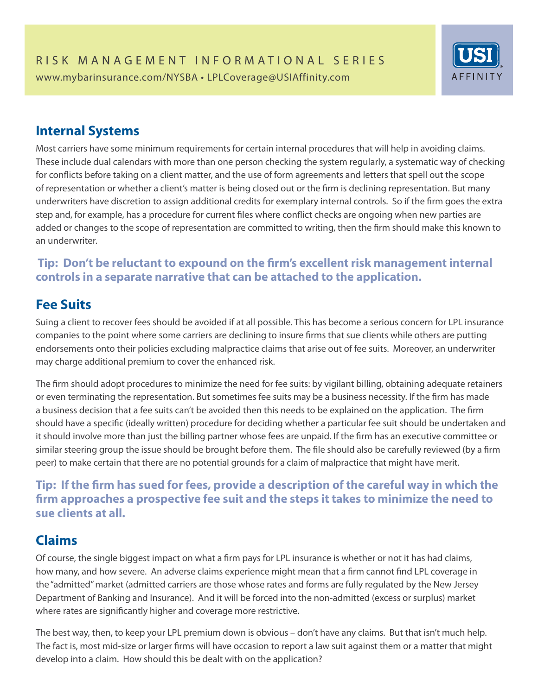

### **Internal Systems**

Most carriers have some minimum requirements for certain internal procedures that will help in avoiding claims. These include dual calendars with more than one person checking the system regularly, a systematic way of checking for conflicts before taking on a client matter, and the use of form agreements and letters that spell out the scope of representation or whether a client's matter is being closed out or the firm is declining representation. But many underwriters have discretion to assign additional credits for exemplary internal controls. So if the firm goes the extra step and, for example, has a procedure for current files where conflict checks are ongoing when new parties are added or changes to the scope of representation are committed to writing, then the firm should make this known to an underwriter.

#### **Tip: Don't be reluctant to expound on the firm's excellent risk management internal controls in a separate narrative that can be attached to the application.**

## **Fee Suits**

Suing a client to recover fees should be avoided if at all possible. This has become a serious concern for LPL insurance companies to the point where some carriers are declining to insure firms that sue clients while others are putting endorsements onto their policies excluding malpractice claims that arise out of fee suits. Moreover, an underwriter may charge additional premium to cover the enhanced risk.

The firm should adopt procedures to minimize the need for fee suits: by vigilant billing, obtaining adequate retainers or even terminating the representation. But sometimes fee suits may be a business necessity. If the firm has made a business decision that a fee suits can't be avoided then this needs to be explained on the application. The firm should have a specific (ideally written) procedure for deciding whether a particular fee suit should be undertaken and it should involve more than just the billing partner whose fees are unpaid. If the firm has an executive committee or similar steering group the issue should be brought before them. The file should also be carefully reviewed (by a firm peer) to make certain that there are no potential grounds for a claim of malpractice that might have merit.

#### **Tip: If the firm has sued for fees, provide a description of the careful way in which the firm approaches a prospective fee suit and the steps it takes to minimize the need to sue clients at all.**

# **Claims**

Of course, the single biggest impact on what a firm pays for LPL insurance is whether or not it has had claims, how many, and how severe. An adverse claims experience might mean that a firm cannot find LPL coverage in the "admitted" market (admitted carriers are those whose rates and forms are fully regulated by the New Jersey Department of Banking and Insurance). And it will be forced into the non-admitted (excess or surplus) market where rates are significantly higher and coverage more restrictive.

The best way, then, to keep your LPL premium down is obvious – don't have any claims. But that isn't much help. The fact is, most mid-size or larger firms will have occasion to report a law suit against them or a matter that might develop into a claim. How should this be dealt with on the application?